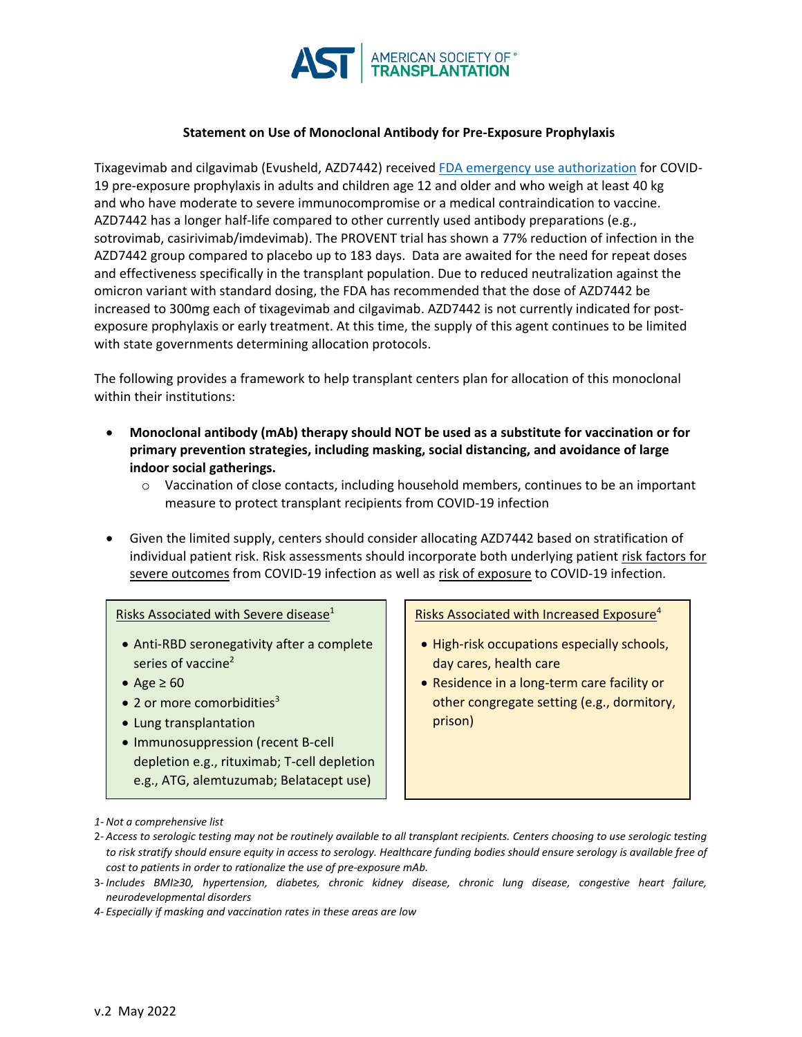

## **Statement on Use of Monoclonal Antibody for Pre-Exposure Prophylaxis**

Tixagevimab and cilgavimab (Evusheld, AZD7442) received [FDA emergency use authorization](https://www.fda.gov/media/154704/download) for COVID-19 pre-exposure prophylaxis in adults and children age 12 and older and who weigh at least 40 kg and who have moderate to severe immunocompromise or a medical contraindication to vaccine. AZD7442 has a longer half-life compared to other currently used antibody preparations (e.g., sotrovimab, casirivimab/imdevimab). The PROVENT trial has shown a 77% reduction of infection in the AZD7442 group compared to placebo up to 183 days. Data are awaited for the need for repeat doses and effectiveness specifically in the transplant population. Due to reduced neutralization against the omicron variant with standard dosing, the FDA has recommended that the dose of AZD7442 be increased to 300mg each of tixagevimab and cilgavimab. AZD7442 is not currently indicated for postexposure prophylaxis or early treatment. At this time, the supply of this agent continues to be limited with state governments determining allocation protocols.

The following provides a framework to help transplant centers plan for allocation of this monoclonal within their institutions:

- **Monoclonal antibody (mAb) therapy should NOT be used as a substitute for vaccination or for primary prevention strategies, including masking, social distancing, and avoidance of large indoor social gatherings.**
	- $\circ$  Vaccination of close contacts, including household members, continues to be an important measure to protect transplant recipients from COVID-19 infection
- Given the limited supply, centers should consider allocating AZD7442 based on stratification of individual patient risk. Risk assessments should incorporate both underlying patient risk factors for severe outcomes from COVID-19 infection as well as risk of exposure to COVID-19 infection.

## Risks Associated with Severe disease $1$

- Anti-RBD seronegativity after a complete series of vaccine<sup>2</sup>
- Age  $\geq 60$
- $\bullet$  2 or more comorbidities<sup>3</sup>
- Lung transplantation
- Immunosuppression (recent B-cell depletion e.g., rituximab; T-cell depletion e.g., ATG, alemtuzumab; Belatacept use)

Risks Associated with Increased Exposure<sup>4</sup>

- High-risk occupations especially schools, day cares, health care
- Residence in a long-term care facility or other congregate setting (e.g., dormitory, prison)

2- *Access to serologic testing may not be routinely available to all transplant recipients. Centers choosing to use serologic testing to risk stratify should ensure equity in access to serology. Healthcare funding bodies should ensure serology is available free of cost to patients in order to rationalize the use of pre-exposure mAb.*

*4- Especially if masking and vaccination rates in these areas are low*

*<sup>1-</sup> Not a comprehensive list*

<sup>3-</sup> *Includes BMI≥30, hypertension, diabetes, chronic kidney disease, chronic lung disease, congestive heart failure, neurodevelopmental disorders*